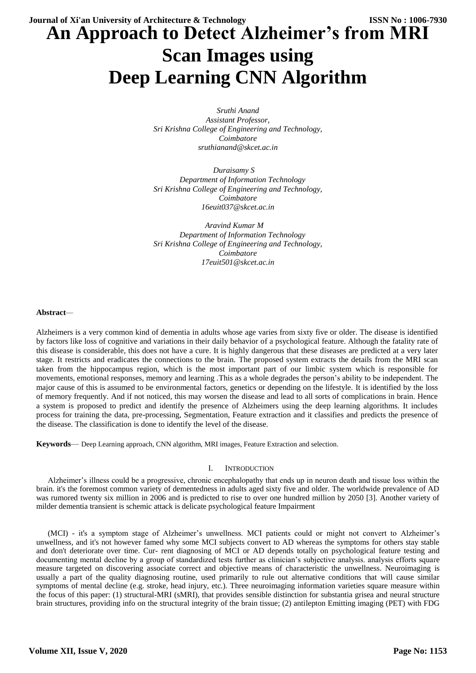# **An Approach to Detect Alzheimer's from MRI Scan Images using Deep Learning CNN Algorithm**

*Sruthi Anand Assistant Professor, Sri Krishna College of Engineering and Technology, Coimbatore sruthianand@skcet.ac.in*

 *Duraisamy S Department of Information Technology Sri Krishna College of Engineering and Technology, Coimbatore 16euit037@skcet.ac.in*

 *Aravind Kumar M Department of Information Technology Sri Krishna College of Engineering and Technology, Coimbatore 17euit501@skcet.ac.in*

# **Abstract***—*

Alzheimers is a very common kind of dementia in adults whose age varies from sixty five or older. The disease is identified by factors like loss of cognitive and variations in their daily behavior of a psychological feature. Although the fatality rate of this disease is considerable, this does not have a cure. It is highly dangerous that these diseases are predicted at a very later stage. It restricts and eradicates the connections to the brain. The proposed system extracts the details from the MRI scan taken from the hippocampus region, which is the most important part of our limbic system which is responsible for movements, emotional responses, memory and learning .This as a whole degrades the person"s ability to be independent. The major cause of this is assumed to be environmental factors, genetics or depending on the lifestyle. It is identified by the loss of memory frequently. And if not noticed, this may worsen the disease and lead to all sorts of complications in brain. Hence a system is proposed to predict and identify the presence of Alzheimers using the deep learning algorithms. It includes process for training the data, pre-processing, Segmentation, Feature extraction and it classifies and predicts the presence of the disease. The classification is done to identify the level of the disease.

**Keywords**— Deep Learning approach, CNN algorithm, MRI images, Feature Extraction and selection.

### I. INTRODUCTION

Alzheimer"s illness could be a progressive, chronic encephalopathy that ends up in neuron death and tissue loss within the brain. it's the foremost common variety of dementedness in adults aged sixty five and older. The worldwide prevalence of AD was rumored twenty six million in 2006 and is predicted to rise to over one hundred million by 2050 [3]. Another variety of milder dementia transient is schemic attack is delicate psychological feature Impairment

(MCI) - it's a symptom stage of Alzheimer"s unwellness. MCI patients could or might not convert to Alzheimer"s unwellness, and it's not however famed why some MCI subjects convert to AD whereas the symptoms for others stay stable and don't deteriorate over time. Cur- rent diagnosing of MCI or AD depends totally on psychological feature testing and documenting mental decline by a group of standardized tests further as clinician's subjective analysis. analysis efforts square measure targeted on discovering associate correct and objective means of characteristic the unwellness. Neuroimaging is usually a part of the quality diagnosing routine, used primarily to rule out alternative conditions that will cause similar symptoms of mental decline (e.g. stroke, head injury, etc.). Three neuroimaging information varieties square measure within the focus of this paper: (1) structural-MRI (sMRI), that provides sensible distinction for substantia grisea and neural structure brain structures, providing info on the structural integrity of the brain tissue; (2) antilepton Emitting imaging (PET) with FDG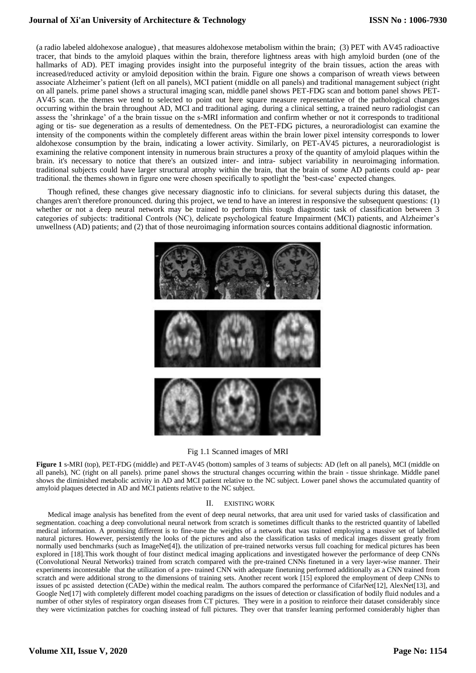(a radio labeled aldohexose analogue) , that measures aldohexose metabolism within the brain; (3) PET with AV45 radioactive tracer, that binds to the amyloid plaques within the brain, therefore lightness areas with high amyloid burden (one of the hallmarks of AD). PET imaging provides insight into the purposeful integrity of the brain tissues, action the areas with increased/reduced activity or amyloid deposition within the brain. Figure one shows a comparison of wreath views between associate Alzheimer"s patient (left on all panels), MCI patient (middle on all panels) and traditional management subject (right on all panels. prime panel shows a structural imaging scan, middle panel shows PET-FDG scan and bottom panel shows PET-AV45 scan. the themes we tend to selected to point out here square measure representative of the pathological changes occurring within the brain throughout AD, MCI and traditional aging. during a clinical setting, a trained neuro radiologist can assess the "shrinkage" of a the brain tissue on the s-MRI information and confirm whether or not it corresponds to traditional aging or tis- sue degeneration as a results of dementedness. On the PET-FDG pictures, a neuroradiologist can examine the intensity of the components within the completely different areas within the brain lower pixel intensity corresponds to lower aldohexose consumption by the brain, indicating a lower activity. Similarly, on PET-AV45 pictures, a neuroradiologist is examining the relative component intensity in numerous brain structures a proxy of the quantity of amyloid plaques within the brain. it's necessary to notice that there's an outsized inter- and intra- subject variability in neuroimaging information. traditional subjects could have larger structural atrophy within the brain, that the brain of some AD patients could ap- pear traditional. the themes shown in figure one were chosen specifically to spotlight the "best-case" expected changes.

Though refined, these changes give necessary diagnostic info to clinicians. for several subjects during this dataset, the changes aren't therefore pronounced. during this project, we tend to have an interest in responsive the subsequent questions: (1) whether or not a deep neural network may be trained to perform this tough diagnostic task of classification between 3 categories of subjects: traditional Controls (NC), delicate psychological feature Impairment (MCI) patients, and Alzheimer"s unwellness (AD) patients; and (2) that of those neuroimaging information sources contains additional diagnostic information.



#### Fig 1.1 Scanned images of MRI

**Figure 1** s-MRI (top), PET-FDG (middle) and PET-AV45 (bottom) samples of 3 teams of subjects: AD (left on all panels), MCI (middle on all panels), NC (right on all panels). prime panel shows the structural changes occurring within the brain - tissue shrinkage. Middle panel shows the diminished metabolic activity in AD and MCI patient relative to the NC subject. Lower panel shows the accumulated quantity of amyloid plaques detected in AD and MCI patients relative to the NC subject.

#### II. EXISTING WORK

Medical image analysis has benefited from the event of deep neural networks, that area unit used for varied tasks of classification and segmentation. coaching a deep convolutional neural network from scratch is sometimes difficult thanks to the restricted quantity of labelled medical information. A promising different is to fine-tune the weights of a network that was trained employing a massive set of labelled natural pictures. However, persistently the looks of the pictures and also the classification tasks of medical images dissent greatly from normally used benchmarks (such as ImageNet[4]). the utilization of pre-trained networks versus full coaching for medical pictures has been explored in [18].This work thought of four distinct medical imaging applications and investigated however the performance of deep CNNs (Convolutional Neural Networks) trained from scratch compared with the pre-trained CNNs finetuned in a very layer-wise manner. Their experiments incontestable that the utilization of a pre- trained CNN with adequate finetuning performed additionally as a CNN trained from scratch and were additional strong to the dimensions of training sets. Another recent work [15] explored the employment of deep CNNs to issues of pc assisted detection (CADe) within the medical realm. The authors compared the performance of CifarNet[12], AlexNet[13], and Google Net[17] with completely different model coaching paradigms on the issues of detection or classification of bodily fluid nodules and a number of other styles of respiratory organ diseases from CT pictures. They were in a position to reinforce their dataset considerably since they were victimization patches for coaching instead of full pictures. They over that transfer learning performed considerably higher than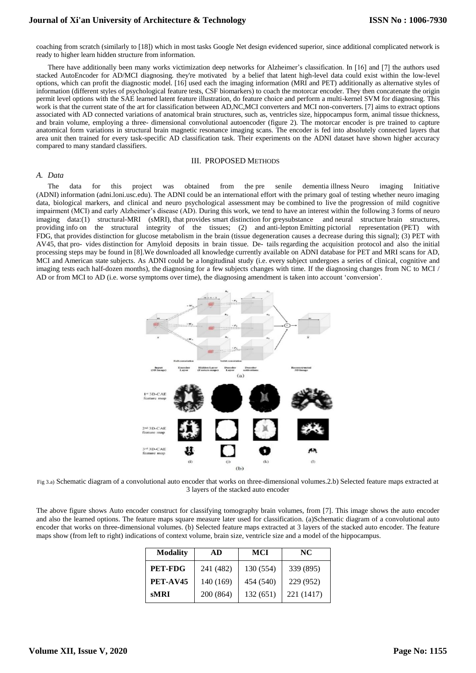coaching from scratch (similarly to [18]) which in most tasks Google Net design evidenced superior, since additional complicated network is ready to higher learn hidden structure from information.

There have additionally been many works victimization deep networks for Alzheimer"s classification. In [16] and [7] the authors used stacked AutoEncoder for AD/MCI diagnosing. they're motivated by a belief that latent high-level data could exist within the low-level options, which can profit the diagnostic model. [16] used each the imaging information (MRI and PET) additionally as alternative styles of information (different styles of psychological feature tests, CSF biomarkers) to coach the motorcar encoder. They then concatenate the origin permit level options with the SAE learned latent feature illustration, do feature choice and perform a multi-kernel SVM for diagnosing. This work is that the current state of the art for classification between AD,NC,MCI converters and MCI non-converters. [7] aims to extract options associated with AD connected variations of anatomical brain structures, such as, ventricles size, hippocampus form, animal tissue thickness, and brain volume, employing a three- dimensional convolutional autoencoder (figure 2). The motorcar encoder is pre trained to capture anatomical form variations in structural brain magnetic resonance imaging scans. The encoder is fed into absolutely connected layers that area unit then trained for every task-specific AD classification task. Their experiments on the ADNI dataset have shown higher accuracy compared to many standard classifiers.

#### III. PROPOSED METHODS

#### *A. Data*

The data for this project was obtained from the pre senile dementia illness Neuro imaging Initiative (ADNI) information (adni.loni.usc.edu). The ADNI could be an international effort with the primary goal of testing whether neuro imaging data, biological markers, and clinical and neuro psychological assessment may be combined to live the progression of mild cognitive impairment (MCI) and early Alzheimer"s disease (AD). During this work, we tend to have an interest within the following 3 forms of neuro imaging data:(1) structural-MRI (sMRI), that provides smart distinction for greysubstance and neural structure brain structures, providing info on the structural integrity of the tissues; (2) and anti-lepton Emitting pictorial representation (PET) with FDG, that provides distinction for glucose metabolism in the brain (tissue degeneration causes a decrease during this signal); (3) PET with AV45, that pro- vides distinction for Amyloid deposits in brain tissue. De- tails regarding the acquisition protocol and also the initial processing steps may be found in [8].We downloaded all knowledge currently available on ADNI database for PET and MRI scans for AD, MCI and American state subjects. As ADNI could be a longitudinal study (i.e. every subject undergoes a series of clinical, cognitive and imaging tests each half-dozen months), the diagnosing for a few subjects changes with time. If the diagnosing changes from NC to MCI / AD or from MCI to AD (i.e. worse symptoms over time), the diagnosing amendment is taken into account "conversion".



Fig 3.a) Schematic diagram of a convolutional auto encoder that works on three-dimensional volumes.2.b) Selected feature maps extracted at 3 layers of the stacked auto encoder

The above figure shows Auto encoder construct for classifying tomography brain volumes, from [7]. This image shows the auto encoder and also the learned options. The feature maps square measure later used for classification. (a)Schematic diagram of a convolutional auto encoder that works on three-dimensional volumes. (b) Selected feature maps extracted at 3 layers of the stacked auto encoder. The feature maps show (from left to right) indications of context volume, brain size, ventricle size and a model of the hippocampus.

| <b>Modality</b> | AD        | <b>MCI</b> | NC.        |  |
|-----------------|-----------|------------|------------|--|
| PET-FDG         | 241 (482) | 130 (554)  | 339 (895)  |  |
| PET-AV45        | 140 (169) | 454 (540)  | 229 (952)  |  |
| <b>SMRI</b>     | 200 (864) | 132 (651)  | 221 (1417) |  |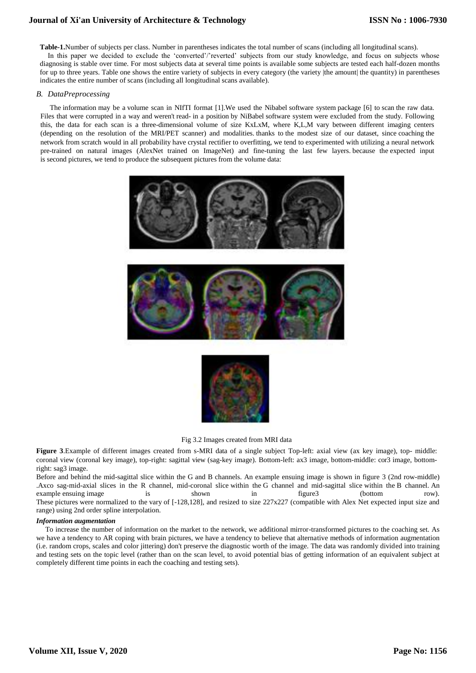**Table-1.**Number of subjects per class. Number in parentheses indicates the total number of scans (including all longitudinal scans). In this paper we decided to exclude the 'converted'/'reverted' subjects from our study knowledge, and focus on subjects whose

diagnosing is stable over time. For most subjects data at several time points is available some subjects are tested each half-dozen months for up to three years. Table one shows the entire variety of subjects in every category (the variety |the amount| the quantity) in parentheses indicates the entire number of scans (including all longitudinal scans available).

### *B. DataPreprocessing*

The information may be a volume scan in NIfTI format [1].We used the Nibabel software system package [6] to scan the raw data. Files that were corrupted in a way and weren't read- in a position by NiBabel software system were excluded from the study. Following this, the data for each scan is a three-dimensional volume of size KxLxM, where K,L,M vary between different imaging centers (depending on the resolution of the MRI/PET scanner) and modalities. thanks to the modest size of our dataset, since coaching the network from scratch would in all probability have crystal rectifier to overfitting, we tend to experimented with utilizing a neural network pre-trained on natural images (AlexNet trained on ImageNet) and fine-tuning the last few layers. because the expected input is second pictures, we tend to produce the subsequent pictures from the volume data:





### Fig 3.2 Images created from MRI data

**Figure 3**.Example of different images created from s-MRI data of a single subject Top-left: axial view (ax key image), top- middle: coronal view (coronal key image), top-right: sagittal view (sag-key image). Bottom-left: ax3 image, bottom-middle: cor3 image, bottomright: sag3 image.

Before and behind the mid-sagittal slice within the G and B channels. An example ensuing image is shown in figure 3 (2nd row-middle) .Axco sag-mid-axial slices in the R channel, mid-coronal slice within the G channel and mid-sagittal slice within the B channel. An example ensuing image is shown in figure3 (bottom row). These pictures were normalized to the vary of [-128,128], and resized to size 227x227 (compatible with Alex Net expected input size and range) using 2nd order spline interpolation.

#### *Information augmentation*

 To increase the number of information on the market to the network, we additional mirror-transformed pictures to the coaching set. As we have a tendency to AR coping with brain pictures, we have a tendency to believe that alternative methods of information augmentation (i.e. random crops, scales and color jittering) don't preserve the diagnostic worth of the image. The data was randomly divided into training and testing sets on the topic level (rather than on the scan level, to avoid potential bias of getting information of an equivalent subject at completely different time points in each the coaching and testing sets).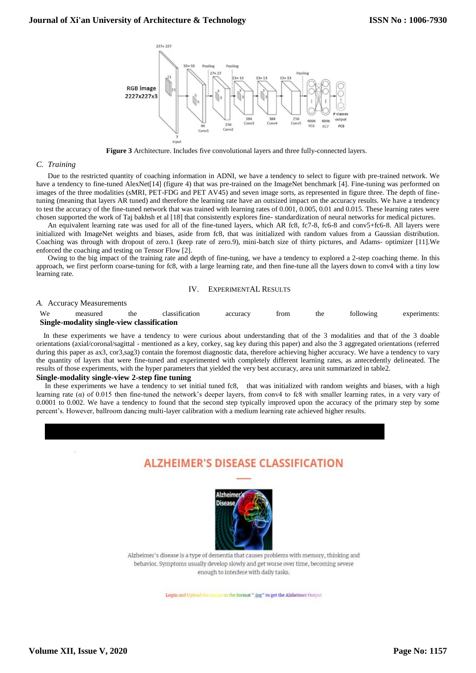

**Figure 3** Architecture. Includes five convolutional layers and three fully-connected layers.

#### *C. Training*

Due to the restricted quantity of coaching information in ADNI, we have a tendency to select to figure with pre-trained network. We have a tendency to fine-tuned AlexNet[14] (figure 4) that was pre-trained on the ImageNet benchmark [4]. Fine-tuning was performed on images of the three modalities (sMRI, PET-FDG and PET AV45) and seven image sorts, as represented in figure three. The depth of finetuning (meaning that layers AR tuned) and therefore the learning rate have an outsized impact on the accuracy results. We have a tendency to test the accuracy of the fine-tuned network that was trained with learning rates of 0.001, 0.005, 0.01 and 0.015. These learning rates were chosen supported the work of Taj bakhsh et al [18] that consistently explores fine- standardization of neural networks for medical pictures.

An equivalent learning rate was used for all of the fine-tuned layers, which AR fc8, fc7-8, fc6-8 and conv5+fc6-8. All layers were initialized with ImageNet weights and biases, aside from fc8, that was initialized with random values from a Gaussian distribution. Coaching was through with dropout of zero.1 (keep rate of zero.9), mini-batch size of thirty pictures, and Adams- optimizer [11].We enforced the coaching and testing on Tensor Flow [2].

Owing to the big impact of the training rate and depth of fine-tuning, we have a tendency to explored a 2-step coaching theme. In this approach, we first perform coarse-tuning for fc8, with a large learning rate, and then fine-tune all the layers down to conv4 with a tiny low learning rate.

#### IV. EXPERIMENTAL RESULTS

#### *A.* Accuracy Measurements

| We | measured                                   | the | classification | accuracy | trom | the<br>---- | following | experiments: |
|----|--------------------------------------------|-----|----------------|----------|------|-------------|-----------|--------------|
|    | Single-modality single-view classification |     |                |          |      |             |           |              |

 In these experiments we have a tendency to were curious about understanding that of the 3 modalities and that of the 3 doable orientations (axial/coronal/sagittal - mentioned as a key, corkey, sag key during this paper) and also the 3 aggregated orientations (referred during this paper as ax3, cor3,sag3) contain the foremost diagnostic data, therefore achieving higher accuracy. We have a tendency to vary the quantity of layers that were fine-tuned and experimented with completely different learning rates, as antecedently delineated. The results of those experiments, with the hyper parameters that yielded the very best accuracy, area unit summarized in table2.

#### **Single-modality single-view 2-step fine tuning**

In these experiments we have a tendency to set initial tuned fc8, that was initialized with random weights and biases, with a high learning rate (α) of 0.015 then fine-tuned the network's deeper layers, from conv4 to fc8 with smaller learning rates, in a very vary of 0.0001 to 0.002. We have a tendency to found that the second step typically improved upon the accuracy of the primary step by some percent"s. However, ballroom dancing multi-layer calibration with a medium learning rate achieved higher results.

# **ALZHEIMER'S DISEASE CLASSIFICATION**



Alzheimer's disease is a type of dementia that causes problems with memory, thinking and behavior. Symptoms usually develop slowly and get worse over time, becoming severe enough to interfere with daily tasks.

Login and Upload the image in the format ".jpg" to get the Alzheimer Output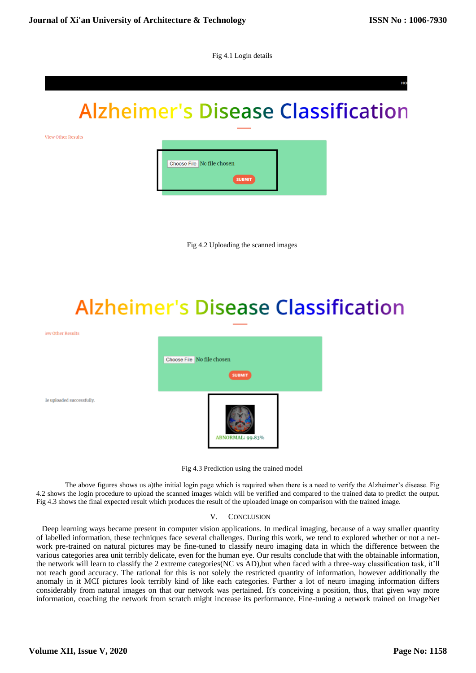Fig 4.1 Login details

# **Alzheimer's Disease Classification**

View Other Results

iew Other Results

ile uploaded successfully



Fig 4.2 Uploading the scanned images

# **Alzheimer's Disease Classification**



Fig 4.3 Prediction using the trained model

The above figures shows us a)the initial login page which is required when there is a need to verify the Alzheimer"s disease. Fig 4.2 shows the login procedure to upload the scanned images which will be verified and compared to the trained data to predict the output. Fig 4.3 shows the final expected result which produces the result of the uploaded image on comparison with the trained image.

# V. CONCLUSION

Deep learning ways became present in computer vision applications. In medical imaging, because of a way smaller quantity of labelled information, these techniques face several challenges. During this work, we tend to explored whether or not a network pre-trained on natural pictures may be fine-tuned to classify neuro imaging data in which the difference between the various categories area unit terribly delicate, even for the human eye. Our results conclude that with the obtainable information, the network will learn to classify the 2 extreme categories(NC vs AD),but when faced with a three-way classification task, it"ll not reach good accuracy. The rational for this is not solely the restricted quantity of information, however additionally the anomaly in it MCI pictures look terribly kind of like each categories. Further a lot of neuro imaging information differs considerably from natural images on that our network was pertained. It's conceiving a position, thus, that given way more information, coaching the network from scratch might increase its performance. Fine-tuning a network trained on ImageNet